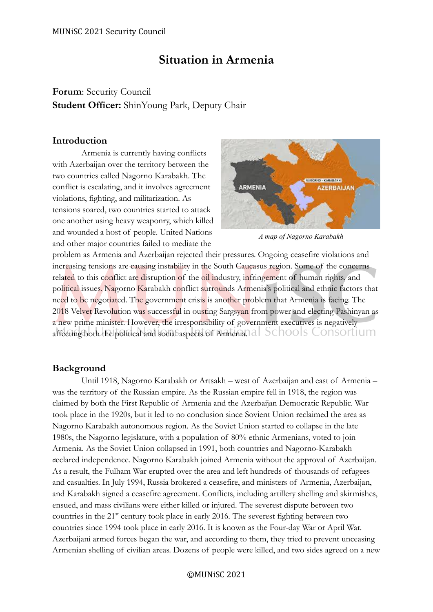# **Situation in Armenia**

# **Forum**: Security Council **Student Officer:** ShinYoung Park, Deputy Chair

#### **Introduction**

Armenia is currently having conflicts with Azerbaijan over the territory between the two countries called Nagorno Karabakh. The conflict is escalating, and it involves agreement violations, fighting, and militarization. As tensions soared, two countries started to attack one another using heavy weaponry, which killed and wounded a host of people. United Nations and other major countries failed to mediate the



*A map of Nagorno Karabakh*

problem as Armenia and Azerbaijan rejected their pressures. Ongoing ceasefire violations and increasing tensions are causing instability in the South Caucasus region. Some of the concerns related to this conflict are disruption of the oil industry, infringement of human rights, and political issues. Nagorno Karabakh conflict surrounds Armenia's political and ethnic factors that need to be negotiated. The government crisis is another problem that Armenia is facing. The 2018 Velvet Revolution was successful in ousting Sargsyan from power and electing Pashinyan as a new prime minister. However, the irresponsibility of government executives is negatively affecting both the political and social aspects of Armenia. all SCHOOIS CONSOLUM

#### **Background**

Until 1918, Nagorno Karabakh or Artsakh – west of Azerbaijan and east of Armenia – was the territory of the Russian empire. As the Russian empire fell in 1918, the region was claimed by both the First Republic of Armenia and the Azerbaijan Democratic Republic. War took place in the 1920s, but it led to no conclusion since Sovient Union reclaimed the area as Nagorno Karabakh autonomous region. As the Soviet Union started to collapse in the late 1980s, the Nagorno legislature, with a population of 80% ethnic Armenians, voted to join Armenia. As the Soviet Union collapsed in 1991, both countries and Nagorno-Karabakh declared independence. Nagorno Karabakh joined Armenia without the approval of Azerbaijan. As a result, the Fulham War erupted over the area and left hundreds of thousands of refugees and casualties. In July 1994, Russia brokered a ceasefire, and ministers of Armenia, Azerbaijan, and Karabakh signed a ceasefire agreement. Conflicts, including artillery shelling and skirmishes, ensued, and mass civilians were either killed or injured. The severest dispute between two countries in the  $21<sup>st</sup>$  century took place in early 2016. The severest fighting between two countries since 1994 took place in early 2016. It is known as the Four-day War or April War. Azerbaijani armed forces began the war, and according to them, they tried to prevent unceasing Armenian shelling of civilian areas. Dozens of people were killed, and two sides agreed on a new

©MUNiSC 2021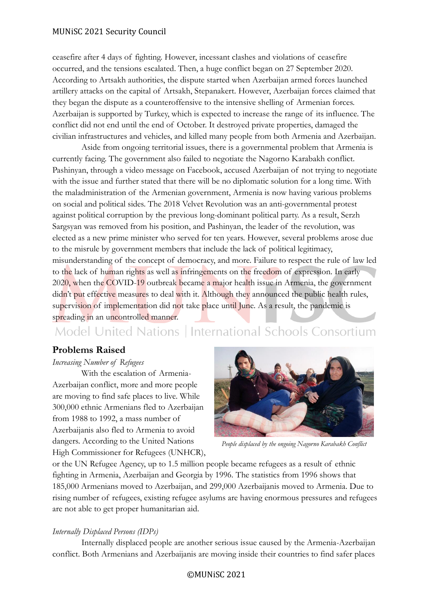ceasefire after 4 days of fighting. However, incessant clashes and violations of ceasefire occurred, and the tensions escalated. Then, a huge conflict began on 27 September 2020. According to Artsakh authorities, the dispute started when Azerbaijan armed forces launched artillery attacks on the capital of Artsakh, Stepanakert. However, Azerbaijan forces claimed that they began the dispute as a counteroffensive to the intensive shelling of Armenian forces. Azerbaijan is supported by Turkey, which is expected to increase the range of its influence. The conflict did not end until the end of October. It destroyed private properties, damaged the civilian infrastructures and vehicles, and killed many people from both Armenia and Azerbaijan.

Aside from ongoing territorial issues, there is a governmental problem that Armenia is currently facing. The government also failed to negotiate the Nagorno Karabakh conflict. Pashinyan, through a video message on Facebook, accused Azerbaijan of not trying to negotiate with the issue and further stated that there will be no diplomatic solution for a long time. With the maladministration of the Armenian government, Armenia is now having various problems on social and political sides. The 2018 Velvet Revolution was an anti-governmental protest against political corruption by the previous long-dominant political party. As a result, Serzh Sargsyan was removed from his position, and Pashinyan, the leader of the revolution, was elected as a new prime minister who served for ten years. However, several problems arose due to the misrule by government members that include the lack of political legitimacy, misunderstanding of the concept of democracy, and more. Failure to respect the rule of law led to the lack of human rights as well as infringements on the freedom of expression. In early 2020, when the COVID-19 outbreak became a major health issue in Armenia, the government didn't put effective measures to deal with it. Although they announced the public health rules, supervision of implementation did not take place until June. As a result, the pandemic is spreading in an uncontrolled manner.

Model United Nations | International Schools Consortium

#### **Problems Raised**

#### *Increasing Number of Refugees*

With the escalation of Armenia-Azerbaijan conflict, more and more people are moving to find safe places to live. While 300,000 ethnic Armenians fled to Azerbaijan from 1988 to 1992, a mass number of Azerbaijanis also fled to Armenia to avoid dangers. According to the United Nations High Commissioner for Refugees (UNHCR),



*People displaced by the ongoing Nagorno Karabakh Conflict*

or the UN Refugee Agency, up to 1.5 million people became refugees as a result of ethnic fighting in Armenia, Azerbaijan and Georgia by 1996. The statistics from 1996 shows that 185,000 Armenians moved to Azerbaijan, and 299,000 Azerbaijanis moved to Armenia. Due to rising number of refugees, existing refugee asylums are having enormous pressures and refugees are not able to get proper humanitarian aid.

#### *Internally Displaced Persons (IDPs)*

Internally displaced people are another serious issue caused by the Armenia-Azerbaijan conflict. Both Armenians and Azerbaijanis are moving inside their countries to find safer places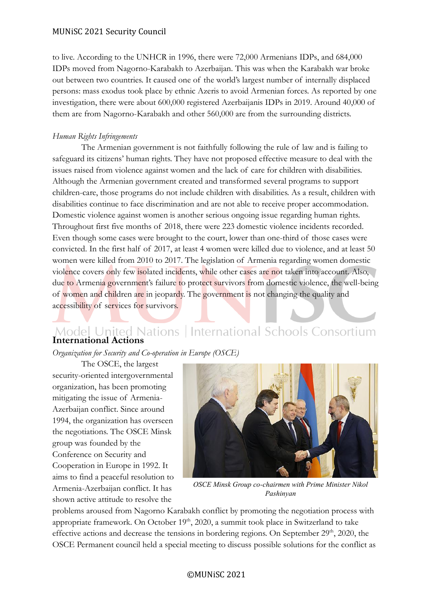to live. According to the UNHCR in 1996, there were 72,000 Armenians IDPs, and 684,000 IDPs moved from Nagorno-Karabakh to Azerbaijan. This was when the Karabakh war broke out between two countries. It caused one of the world's largest number of internally displaced persons: mass exodus took place by ethnic Azeris to avoid Armenian forces. As reported by one investigation, there were about 600,000 registered Azerbaijanis IDPs in 2019. Around 40,000 of them are from Nagorno-Karabakh and other 560,000 are from the surrounding districts.

#### *Human Rights Infringements*

The Armenian government is not faithfully following the rule of law and is failing to safeguard its citizens' human rights. They have not proposed effective measure to deal with the issues raised from violence against women and the lack of care for children with disabilities. Although the Armenian government created and transformed several programs to support children-care, those programs do not include children with disabilities. As a result, children with disabilities continue to face discrimination and are not able to receive proper accommodation. Domestic violence against women is another serious ongoing issue regarding human rights. Throughout first five months of 2018, there were 223 domestic violence incidents recorded. Even though some cases were brought to the court, lower than one-third of those cases were convicted. In the first half of 2017, at least 4 women were killed due to violence, and at least 50 women were killed from 2010 to 2017. The legislation of Armenia regarding women domestic violence covers only few isolated incidents, while other cases are not taken into account. Also, due to Armenia government's failure to protect survivors from domestic violence, the well-being of women and children are in jeopardy. The government is not changing the quality and accessibility of services for survivors.

# Model United Nations | International Schools Consortium

*Organization for Security and Co-operation in Europe (OSCE)* 

The OSCE, the largest security-oriented intergovernmental organization, has been promoting mitigating the issue of Armenia-Azerbaijan conflict. Since around 1994, the organization has overseen the negotiations. The OSCE Minsk group was founded by the Conference on Security and Cooperation in Europe in 1992. It aims to find a peaceful resolution to Armenia-Azerbaijan conflict. It has shown active attitude to resolve the



*OSCE Minsk Group co-chairmen with Prime Minister Nikol Pashinyan*

problems aroused from Nagorno Karabakh conflict by promoting the negotiation process with appropriate framework. On October 19<sup>th</sup>, 2020, a summit took place in Switzerland to take effective actions and decrease the tensions in bordering regions. On September 29<sup>th</sup>, 2020, the OSCE Permanent council held a special meeting to discuss possible solutions for the conflict as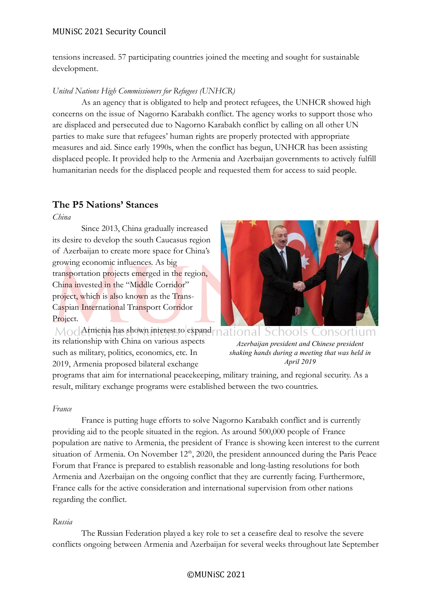tensions increased. 57 participating countries joined the meeting and sought for sustainable development.

#### *United Nations High Commissioners for Refugees (UNHCR)*

As an agency that is obligated to help and protect refugees, the UNHCR showed high concerns on the issue of Nagorno Karabakh conflict. The agency works to support those who are displaced and persecuted due to Nagorno Karabakh conflict by calling on all other UN parties to make sure that refugees' human rights are properly protected with appropriate measures and aid. Since early 1990s, when the conflict has begun, UNHCR has been assisting displaced people. It provided help to the Armenia and Azerbaijan governments to actively fulfill humanitarian needs for the displaced people and requested them for access to said people.

## **The P5 Nations' Stances**

*China*

Since 2013, China gradually increased its desire to develop the south Caucasus region of Azerbaijan to create more space for China's growing economic influences. As big transportation projects emerged in the region, China invested in the "Middle Corridor" project, which is also known as the Trans-Caspian International Transport Corridor Project.



Mod Armenia has shown interest to expand mational Schools Consortium its relationship with China on various aspects such as military, politics, economics, etc. In 2019, Armenia proposed bilateral exchange *Azerbaijan president and Chinese president shaking hands during a meeting that was held in April 2019*

programs that aim for international peacekeeping, military training, and regional security. As a result, military exchange programs were established between the two countries.

#### *France*

France is putting huge efforts to solve Nagorno Karabakh conflict and is currently providing aid to the people situated in the region. As around 500,000 people of France population are native to Armenia, the president of France is showing keen interest to the current situation of Armenia. On November 12<sup>th</sup>, 2020, the president announced during the Paris Peace Forum that France is prepared to establish reasonable and long-lasting resolutions for both Armenia and Azerbaijan on the ongoing conflict that they are currently facing. Furthermore, France calls for the active consideration and international supervision from other nations regarding the conflict.

#### *Russia*

The Russian Federation played a key role to set a ceasefire deal to resolve the severe conflicts ongoing between Armenia and Azerbaijan for several weeks throughout late September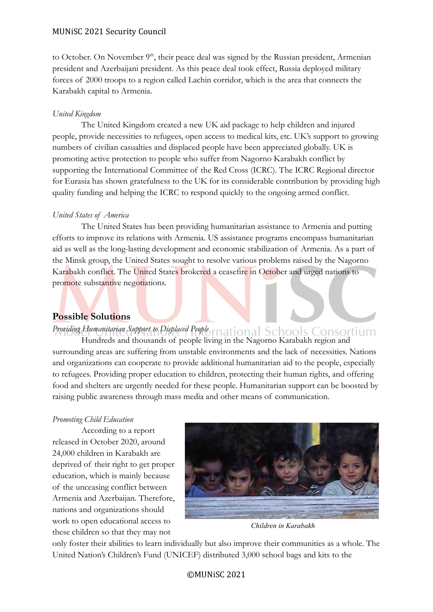to October. On November 9<sup>th</sup>, their peace deal was signed by the Russian president, Armenian president and Azerbaijani president. As this peace deal took effect, Russia deployed military forces of 2000 troops to a region called Lachin corridor, which is the area that connects the Karabakh capital to Armenia.

#### *United Kingdom*

The United Kingdom created a new UK aid package to help children and injured people, provide necessities to refugees, open access to medical kits, etc. UK's support to growing numbers of civilian casualties and displaced people have been appreciated globally. UK is promoting active protection to people who suffer from Nagorno Karabakh conflict by supporting the International Committee of the Red Cross (ICRC). The ICRC Regional director for Eurasia has shown gratefulness to the UK for its considerable contribution by providing high quality funding and helping the ICRC to respond quickly to the ongoing armed conflict.

#### *United States of America*

The United States has been providing humanitarian assistance to Armenia and putting efforts to improve its relations with Armenia. US assistance programs encompass humanitarian aid as well as the long-lasting development and economic stabilization of Armenia. As a part of the Minsk group, the United States sought to resolve various problems raised by the Nagorno Karabakh conflict. The United States brokered a ceasefire in October and urged nations to promote substantive negotiations.

#### **Possible Solutions**

# *Providing Humanitarian Support to Displaced People*

Hundreds and thousands of people living in the Nagorno Karabakh region and surrounding areas are suffering from unstable environments and the lack of necessities. Nations and organizations can cooperate to provide additional humanitarian aid to the people, especially to refugees. Providing proper education to children, protecting their human rights, and offering food and shelters are urgently needed for these people. Humanitarian support can be boosted by raising public awareness through mass media and other means of communication.

#### *Promoting Child Education*

According to a report released in October 2020, around 24,000 children in Karabakh are deprived of their right to get proper education, which is mainly because of the unceasing conflict between Armenia and Azerbaijan. Therefore, nations and organizations should work to open educational access to these children so that they may not



*Children in Karabakh*

only foster their abilities to learn individually but also improve their communities as a whole. The United Nation's Children's Fund (UNICEF) distributed 3,000 school bags and kits to the

#### ©MUNiSC 2021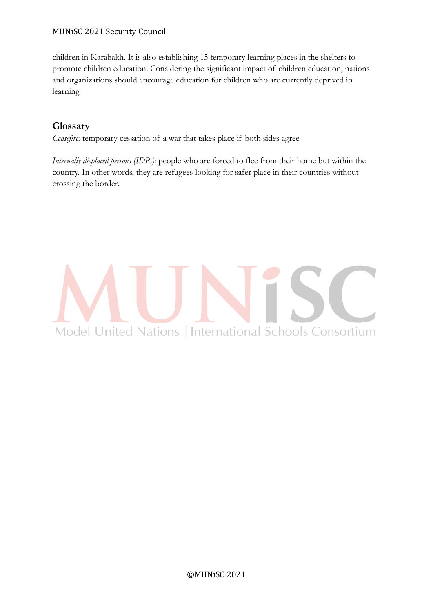children in Karabakh. It is also establishing 15 temporary learning places in the shelters to promote children education. Considering the significant impact of children education, nations and organizations should encourage education for children who are currently deprived in learning.

# **Glossary**

*Ceasefire:* temporary cessation of a war that takes place if both sides agree

*Internally displaced persons (IDPs):* people who are forced to flee from their home but within the country. In other words, they are refugees looking for safer place in their countries without crossing the border.